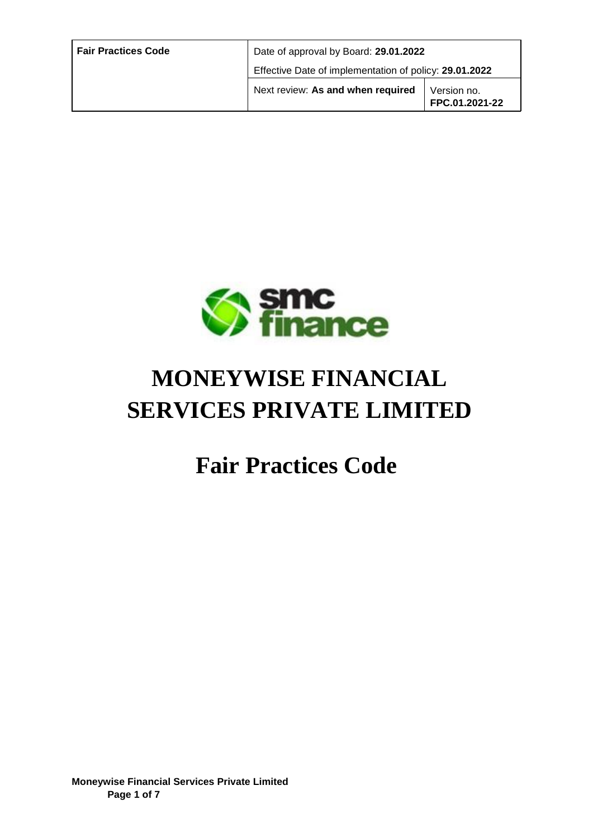| <b>Fair Practices Code</b> | Date of approval by Board: 29.01.2022                  |                               |
|----------------------------|--------------------------------------------------------|-------------------------------|
|                            | Effective Date of implementation of policy: 29.01.2022 |                               |
|                            | Next review: As and when required                      | Version no.<br>FPC.01.2021-22 |



# **MONEYWISE FINANCIAL SERVICES PRIVATE LIMITED**

## **Fair Practices Code**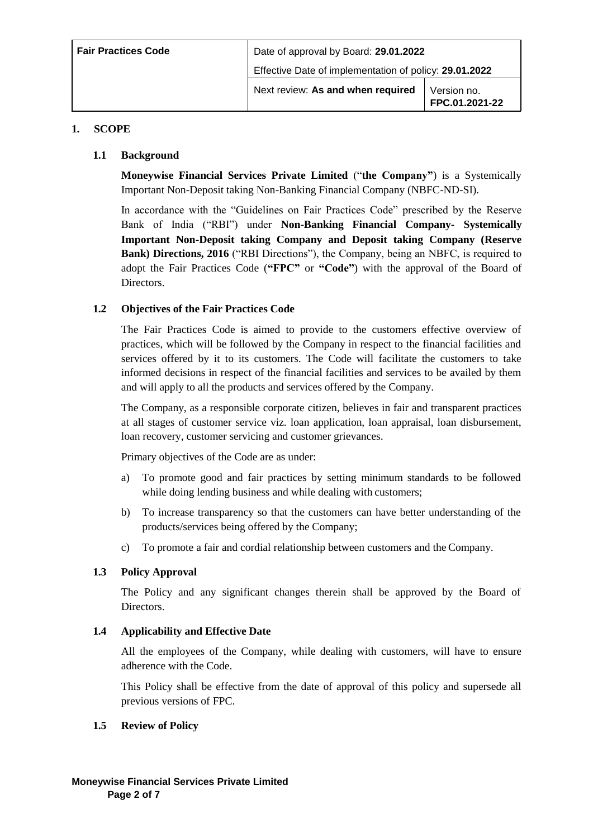| <b>Fair Practices Code</b> | Date of approval by Board: 29.01.2022<br>Effective Date of implementation of policy: 29.01.2022 |                               |
|----------------------------|-------------------------------------------------------------------------------------------------|-------------------------------|
|                            |                                                                                                 |                               |
|                            | Next review: As and when required                                                               | Version no.<br>FPC.01.2021-22 |

#### **1. SCOPE**

#### **1.1 Background**

**Moneywise Financial Services Private Limited** ("**the Company"**) is a Systemically Important Non-Deposit taking Non-Banking Financial Company (NBFC-ND-SI).

In accordance with the "Guidelines on Fair Practices Code" prescribed by the Reserve Bank of India ("RBI") under **Non-Banking Financial Company- Systemically Important Non-Deposit taking Company and Deposit taking Company (Reserve Bank) Directions, 2016** ("RBI Directions"), the Company, being an NBFC, is required to adopt the Fair Practices Code (**"FPC"** or **"Code"**) with the approval of the Board of Directors.

#### **1.2 Objectives of the Fair Practices Code**

The Fair Practices Code is aimed to provide to the customers effective overview of practices, which will be followed by the Company in respect to the financial facilities and services offered by it to its customers. The Code will facilitate the customers to take informed decisions in respect of the financial facilities and services to be availed by them and will apply to all the products and services offered by the Company.

The Company, as a responsible corporate citizen, believes in fair and transparent practices at all stages of customer service viz. loan application, loan appraisal, loan disbursement, loan recovery, customer servicing and customer grievances.

Primary objectives of the Code are as under:

- a) To promote good and fair practices by setting minimum standards to be followed while doing lending business and while dealing with customers;
- b) To increase transparency so that the customers can have better understanding of the products/services being offered by the Company;
- c) To promote a fair and cordial relationship between customers and the Company.

#### **1.3 Policy Approval**

The Policy and any significant changes therein shall be approved by the Board of Directors.

#### **1.4 Applicability and Effective Date**

All the employees of the Company, while dealing with customers, will have to ensure adherence with the Code.

This Policy shall be effective from the date of approval of this policy and supersede all previous versions of FPC.

#### **1.5 Review of Policy**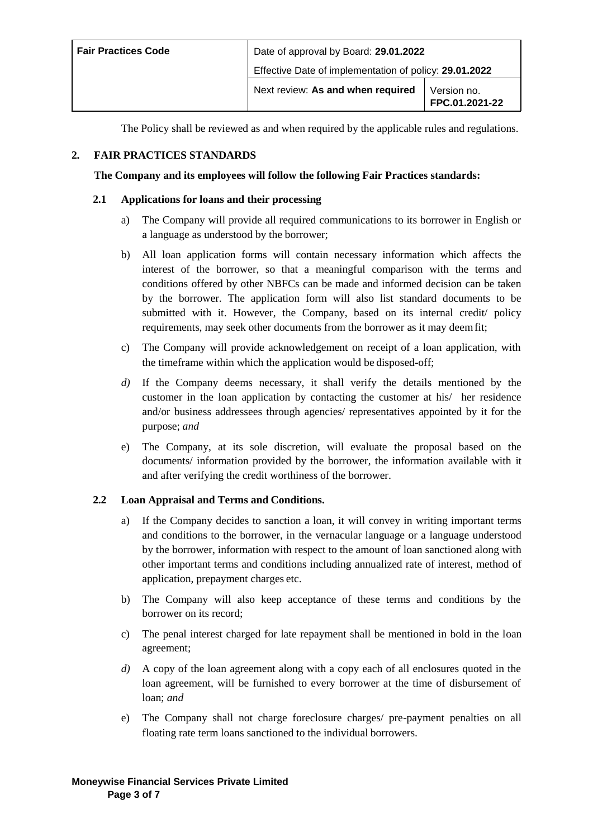| <b>Fair Practices Code</b> | Date of approval by Board: 29.01.2022<br>Effective Date of implementation of policy: 29.01.2022 |                               |
|----------------------------|-------------------------------------------------------------------------------------------------|-------------------------------|
|                            |                                                                                                 |                               |
|                            | Next review: As and when required                                                               | Version no.<br>FPC.01.2021-22 |

The Policy shall be reviewed as and when required by the applicable rules and regulations.

#### **2. FAIR PRACTICES STANDARDS**

#### **The Company and its employees will follow the following Fair Practices standards:**

#### **2.1 Applications for loans and their processing**

- a) The Company will provide all required communications to its borrower in English or a language as understood by the borrower;
- b) All loan application forms will contain necessary information which affects the interest of the borrower, so that a meaningful comparison with the terms and conditions offered by other NBFCs can be made and informed decision can be taken by the borrower. The application form will also list standard documents to be submitted with it. However, the Company, based on its internal credit/ policy requirements, may seek other documents from the borrower as it may deemfit;
- c) The Company will provide acknowledgement on receipt of a loan application, with the timeframe within which the application would be disposed-off;
- *d)* If the Company deems necessary, it shall verify the details mentioned by the customer in the loan application by contacting the customer at his/ her residence and/or business addressees through agencies/ representatives appointed by it for the purpose; *and*
- e) The Company, at its sole discretion, will evaluate the proposal based on the documents/ information provided by the borrower, the information available with it and after verifying the credit worthiness of the borrower.

#### **2.2 Loan Appraisal and Terms and Conditions.**

- a) If the Company decides to sanction a loan, it will convey in writing important terms and conditions to the borrower, in the vernacular language or a language understood by the borrower, information with respect to the amount of loan sanctioned along with other important terms and conditions including annualized rate of interest, method of application, prepayment charges etc.
- b) The Company will also keep acceptance of these terms and conditions by the borrower on its record;
- c) The penal interest charged for late repayment shall be mentioned in bold in the loan agreement;
- *d)* A copy of the loan agreement along with a copy each of all enclosures quoted in the loan agreement, will be furnished to every borrower at the time of disbursement of loan; *and*
- e) The Company shall not charge foreclosure charges/ pre-payment penalties on all floating rate term loans sanctioned to the individual borrowers.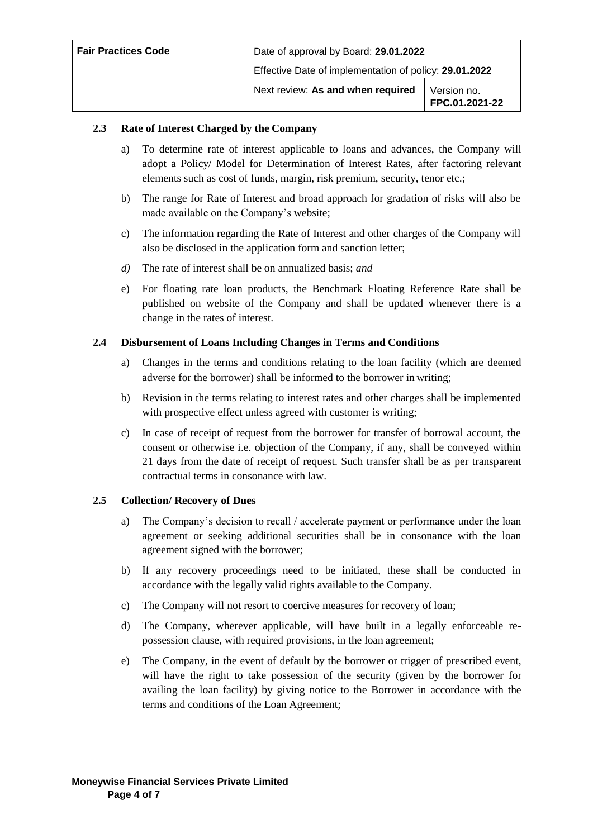| <b>Fair Practices Code</b> | Date of approval by Board: 29.01.2022                  |                               |
|----------------------------|--------------------------------------------------------|-------------------------------|
|                            | Effective Date of implementation of policy: 29.01.2022 |                               |
|                            | Next review: As and when required                      | Version no.<br>FPC.01.2021-22 |

#### **2.3 Rate of Interest Charged by the Company**

- a) To determine rate of interest applicable to loans and advances, the Company will adopt a Policy/ Model for Determination of Interest Rates, after factoring relevant elements such as cost of funds, margin, risk premium, security, tenor etc.;
- b) The range for Rate of Interest and broad approach for gradation of risks will also be made available on the Company's website;
- c) The information regarding the Rate of Interest and other charges of the Company will also be disclosed in the application form and sanction letter;
- *d)* The rate of interest shall be on annualized basis; *and*
- e) For floating rate loan products, the Benchmark Floating Reference Rate shall be published on website of the Company and shall be updated whenever there is a change in the rates of interest.

#### **2.4 Disbursement of Loans Including Changes in Terms and Conditions**

- a) Changes in the terms and conditions relating to the loan facility (which are deemed adverse for the borrower) shall be informed to the borrower in writing;
- b) Revision in the terms relating to interest rates and other charges shall be implemented with prospective effect unless agreed with customer is writing;
- c) In case of receipt of request from the borrower for transfer of borrowal account, the consent or otherwise i.e. objection of the Company, if any, shall be conveyed within 21 days from the date of receipt of request. Such transfer shall be as per transparent contractual terms in consonance with law.

#### **2.5 Collection/ Recovery of Dues**

- a) The Company's decision to recall / accelerate payment or performance under the loan agreement or seeking additional securities shall be in consonance with the loan agreement signed with the borrower;
- b) If any recovery proceedings need to be initiated, these shall be conducted in accordance with the legally valid rights available to the Company.
- c) The Company will not resort to coercive measures for recovery of loan;
- d) The Company, wherever applicable, will have built in a legally enforceable repossession clause, with required provisions, in the loan agreement;
- e) The Company, in the event of default by the borrower or trigger of prescribed event, will have the right to take possession of the security (given by the borrower for availing the loan facility) by giving notice to the Borrower in accordance with the terms and conditions of the Loan Agreement;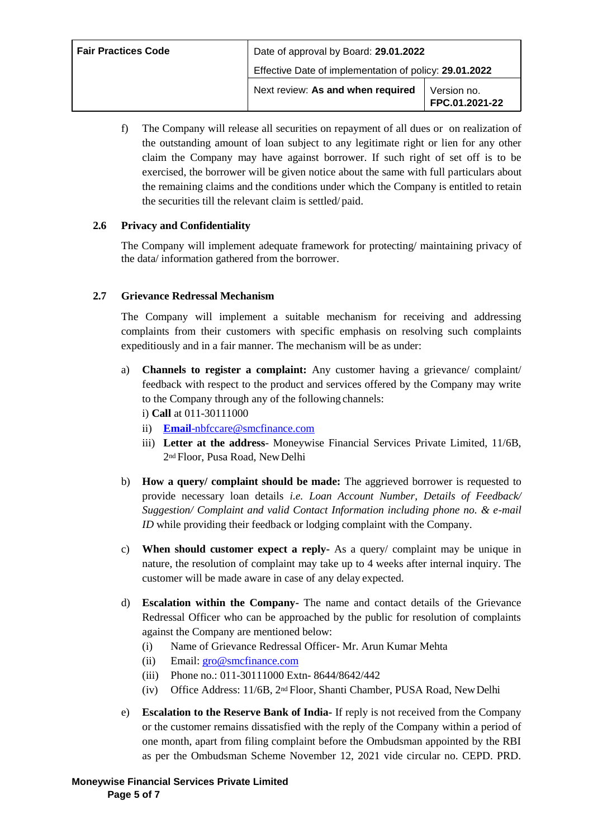| <b>Fair Practices Code</b> | Date of approval by Board: 29.01.2022                  |                               |
|----------------------------|--------------------------------------------------------|-------------------------------|
|                            | Effective Date of implementation of policy: 29.01.2022 |                               |
|                            | Next review: As and when required                      | Version no.<br>FPC.01.2021-22 |

f) The Company will release all securities on repayment of all dues or on realization of the outstanding amount of loan subject to any legitimate right or lien for any other claim the Company may have against borrower. If such right of set off is to be exercised, the borrower will be given notice about the same with full particulars about the remaining claims and the conditions under which the Company is entitled to retain the securities till the relevant claim is settled/ paid.

#### **2.6 Privacy and Confidentiality**

The Company will implement adequate framework for protecting/ maintaining privacy of the data/ information gathered from the borrower.

#### **2.7 Grievance Redressal Mechanism**

The Company will implement a suitable mechanism for receiving and addressing complaints from their customers with specific emphasis on resolving such complaints expeditiously and in a fair manner. The mechanism will be as under:

- a) **Channels to register a complaint:** Any customer having a grievance/ complaint/ feedback with respect to the product and services offered by the Company may write to the Company through any of the following channels: i) **Call** at 011-30111000
	- ii) **Email**[-nbfccare@smcfinance.com](mailto:Email-nbfccare@smcfinance.com)
	- iii) **Letter at the address** Moneywise Financial Services Private Limited, 11/6B, 2nd Floor, Pusa Road, NewDelhi
- b) **How a query/ complaint should be made:** The aggrieved borrower is requested to provide necessary loan details *i.e. Loan Account Number, Details of Feedback/ Suggestion/ Complaint and valid Contact Information including phone no. & e-mail ID* while providing their feedback or lodging complaint with the Company.
- c) **When should customer expect a reply-** As a query/ complaint may be unique in nature, the resolution of complaint may take up to 4 weeks after internal inquiry. The customer will be made aware in case of any delay expected.
- d) **Escalation within the Company-** The name and contact details of the Grievance Redressal Officer who can be approached by the public for resolution of complaints against the Company are mentioned below:
	- (i) Name of Grievance Redressal Officer- Mr. Arun Kumar Mehta
	- (ii) Email: [gro@smcfinance.com](mailto:gro@smcfinance.com)
	- (iii) Phone no.: 011-30111000 Extn- 8644/8642/442
	- (iv) Office Address: 11/6B, 2nd Floor, Shanti Chamber, PUSA Road, NewDelhi
- e) **Escalation to the Reserve Bank of India-** If reply is not received from the Company or the customer remains dissatisfied with the reply of the Company within a period of one month, apart from filing complaint before the Ombudsman appointed by the RBI as per the Ombudsman Scheme November 12, 2021 vide circular no. CEPD. PRD.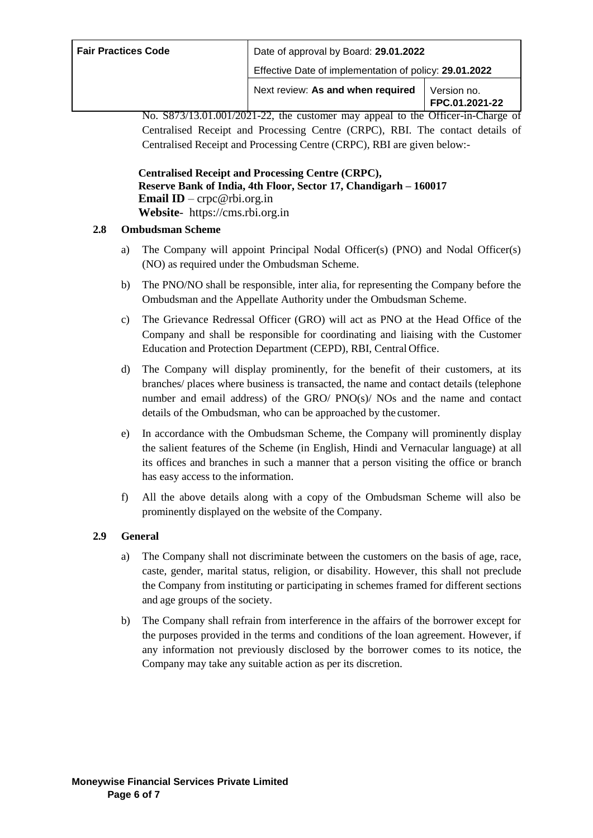| <b>Fair Practices Code</b> | Date of approval by Board: 29.01.2022                  |                               |
|----------------------------|--------------------------------------------------------|-------------------------------|
|                            | Effective Date of implementation of policy: 29.01.2022 |                               |
|                            | Next review: As and when required                      | Version no.<br>FPC.01.2021-22 |

No. S873/13.01.001/2021-22, the customer may appeal to the Officer-in-Charge of Centralised Receipt and Processing Centre (CRPC), RBI. The contact details of Centralised Receipt and Processing Centre (CRPC), RBI are given below:-

**Centralised Receipt and Processing Centre (CRPC), Reserve Bank of India, 4th Floor, Sector 17, Chandigarh – 160017 Email ID** – [crpc@rbi.org.in](mailto:crpc@rbi.org.in) **Website**- https://cms.rbi.org.in

#### **2.8 Ombudsman Scheme**

- a) The Company will appoint Principal Nodal Officer(s) (PNO) and Nodal Officer(s) (NO) as required under the Ombudsman Scheme.
- b) The PNO/NO shall be responsible, inter alia, for representing the Company before the Ombudsman and the Appellate Authority under the Ombudsman Scheme.
- c) The Grievance Redressal Officer (GRO) will act as PNO at the Head Office of the Company and shall be responsible for coordinating and liaising with the Customer Education and Protection Department (CEPD), RBI, Central Office.
- d) The Company will display prominently, for the benefit of their customers, at its branches/ places where business is transacted, the name and contact details (telephone number and email address) of the GRO/  $PNO(s)/NOs$  and the name and contact details of the Ombudsman, who can be approached by the customer.
- e) In accordance with the Ombudsman Scheme, the Company will prominently display the salient features of the Scheme (in English, Hindi and Vernacular language) at all its offices and branches in such a manner that a person visiting the office or branch has easy access to the information.
- f) All the above details along with a copy of the Ombudsman Scheme will also be prominently displayed on the website of the Company.

#### **2.9 General**

- a) The Company shall not discriminate between the customers on the basis of age, race, caste, gender, marital status, religion, or disability. However, this shall not preclude the Company from instituting or participating in schemes framed for different sections and age groups of the society.
- b) The Company shall refrain from interference in the affairs of the borrower except for the purposes provided in the terms and conditions of the loan agreement. However, if any information not previously disclosed by the borrower comes to its notice, the Company may take any suitable action as per its discretion.